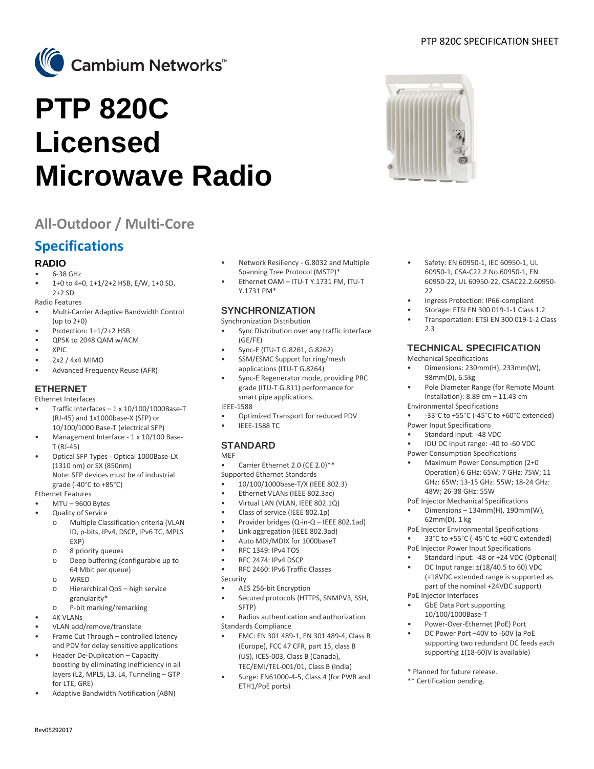

# **PTP 820C Licensed Microwave Radio**

# **All-Outdoor / Multi-Core**

# **Specifications**

#### **RADIO**

- 6-38 GHz
- 1+0 to 4+0, 1+1/2+2 HSB, E/W, 1+0 SD, 2+2 SD

Radio Features

- Multi-Carrier Adaptive Bandwidth Control (up to 2+0)
- Protection: 1+1/2+2 HSB
- QPSK to 2048 QAM w/ACM
- XPIC
- 2x2 / 4x4 MIMO
- Advanced Frequency Reuse (AFR)

### **ETHERNET**

Ethernet Interfaces

- Traffic Interfaces 1 x 10/100/1000Base-T (RJ-45) and 1x1000base-X (SFP) or 10/100/1000 Base-T (electrical SFP)
- Management Interface 1 x 10/100 Base-T (RJ-45)
- Optical SFP Types Optical 1000Base-LX (1310 nm) or SX (850nm) Note: SFP devices must be of industrial grade (-40°C to +85°C)

Ethernet Features

- MTU 9600 Bytes
- Quality of Service
	- o Multiple Classification criteria (VLAN ID, p-bits, IPv4, DSCP, IPv6 TC, MPLS EXP)
	- o 8 priority queues
	- o Deep buffering (configurable up to 64 Mbit per queue)
	- o WRED
	- o Hierarchical QoS high service granularity\*
- o P-bit marking/remarking
- **4K VLANs**
- VLAN add/remove/translate
- Frame Cut Through controlled latency and PDV for delay sensitive applications
- Header De-Duplication Capacity boosting by eliminating inefficiency in all layers (L2, MPLS, L3, L4, Tunneling – GTP for LTE, GRE)
- Adaptive Bandwidth Notification (ABN)
- Network Resiliency G.8032 and Multiple Spanning Tree Protocol (MSTP)\*
- Ethernet OAM ITU-T Y.1731 FM, ITU-T

# **SYNCHRONIZATION**

Y.1731 PM\*

Synchronization Distribution

- Sync Distribution over any traffic interface (GE/FE)
- Sync-E (ITU-T G.8261, G.8262)
- SSM/ESMC Support for ring/mesh applications (ITU-T G.8264)
- Sync-E Regenerator mode, providing PRC grade (ITU-T G.811) performance for smart pipe applications.

IEEE-1588

- Optimized Transport for reduced PDV
- IEEE-1588 TC

# **STANDARD**

MEF

Carrier Ethernet 2.0 (CE 2.0)\*\* Supported Ethernet Standards

- 10/100/1000base-T/X (IEEE 802.3)
- Ethernet VLANs (IEEE 802.3ac)
- Virtual LAN (VLAN, IEEE 802.1Q)
- Class of service (IEEE 802.1p)
- Provider bridges (Q-in-Q IEEE 802.1ad)
- Link aggregation (IEEE 802.3ad)
- Auto MDI/MDIX for 1000baseT
- RFC 1349: IPv4 TOS
- RFC 2474: IPv4 DSCP
- RFC 2460: IPv6 Traffic Classes
- Security
- AES 256-bit Encryption
- Secured protocols (HTTPS, SNMPV3, SSH, SFTP)
- Radius authentication and authorization Standards Compliance
- EMC: EN 301 489-1, EN 301 489-4, Class B (Europe), FCC 47 CFR, part 15, class B (US), ICES-003, Class B (Canada), TEC/EMI/TEL-001/01, Class B (India)
- Surge: EN61000-4-5, Class 4 (for PWR and ETH1/PoE ports)



- Safety: EN 60950-1, IEC 60950-1, UL 60950-1, CSA-C22.2 No.60950-1, EN 60950-22, UL 60950-22, CSAC22.2.60950-  $22$
- Ingress Protection: IP66-compliant
- Storage: ETSI EN 300 019-1-1 Class 1.2
- Transportation: ETSI EN 300 019-1-2 Class  $2.3$

## **TECHNICAL SPECIFICATION**

Mechanical Specifications

- Dimensions: 230mm(H), 233mm(W), 98mm(D), 6.5kg
- Pole Diameter Range (for Remote Mount Installation): 8.89 cm – 11.43 cm
- Environmental Specifications
- -33°C to +55°C (-45°C to +60°C extended) Power Input Specifications
- Standard Input: 48 VDC
- IDU DC Input range: -40 to -60 VDC
- Power Consumption Specifications
- Maximum Power Consumption (2+0 Operation) 6 GHz: 65W; 7 GHz: 75W; 11 GHz: 65W; 13-15 GHz: 55W; 18-24 GHz: 48W; 26-38 GHz: 55W
- PoE Injector Mechanical Specifications
- Dimensions 134mm(H), 190mm(W), 62mm(D), 1 kg
- PoE Injector Environmental Specifications
- 33°C to +55°C (-45°C to +60°C extended) PoE Injector Power Input Specifications
- Standard Input: -48 or +24 VDC (Optional)
- DC Input range: ±(18/40.5 to 60) VDC (+18VDC extended range is supported as part of the nominal +24VDC support) PoE Injector Interfaces
- GbE Data Port supporting 10/100/1000Base-T
- Power-Over-Ethernet (PoE) Port
- DC Power Port –40V to -60V (a PoE supporting two redundant DC feeds each supporting ±(18-60)V is available)
- \* Planned for future release.
- \*\* Certification pending.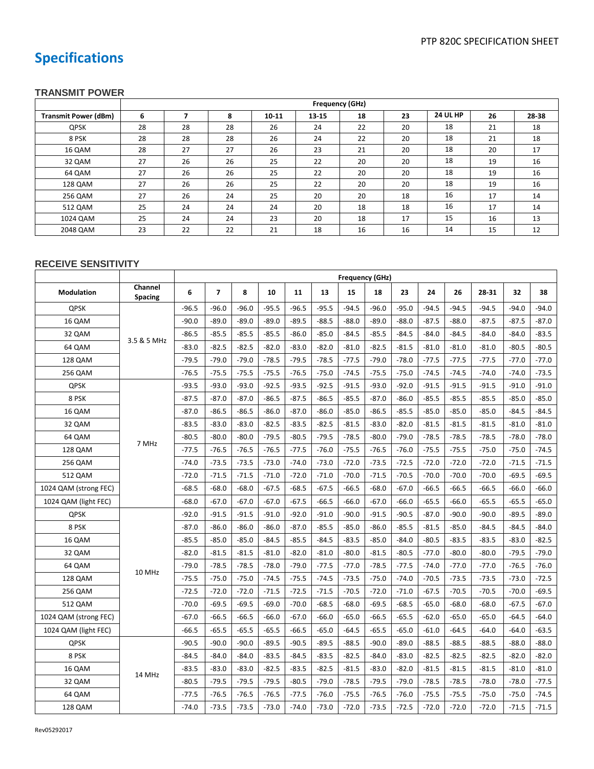# **Specifications**

#### **TRANSMIT POWER**

|                             | Frequency (GHz) |    |    |       |       |    |    |                 |    |       |  |  |
|-----------------------------|-----------------|----|----|-------|-------|----|----|-----------------|----|-------|--|--|
| <b>Transmit Power (dBm)</b> | 6               | 7  | 8  | 10-11 | 13-15 | 18 | 23 | <b>24 UL HP</b> | 26 | 28-38 |  |  |
| QPSK                        | 28              | 28 | 28 | 26    | 24    | 22 | 20 | 18              | 21 | 18    |  |  |
| 8 PSK                       | 28              | 28 | 28 | 26    | 24    | 22 | 20 | 18              | 21 | 18    |  |  |
| <b>16 QAM</b>               | 28              | 27 | 27 | 26    | 23    | 21 | 20 | 18              | 20 | 17    |  |  |
| 32 QAM                      | 27              | 26 | 26 | 25    | 22    | 20 | 20 | 18              | 19 | 16    |  |  |
| 64 QAM                      | 27              | 26 | 26 | 25    | 22    | 20 | 20 | 18              | 19 | 16    |  |  |
| 128 QAM                     | 27              | 26 | 26 | 25    | 22    | 20 | 20 | 18              | 19 | 16    |  |  |
| 256 QAM                     | 27              | 26 | 24 | 25    | 20    | 20 | 18 | 16              | 17 | 14    |  |  |
| 512 QAM                     | 25              | 24 | 24 | 24    | 20    | 18 | 18 | 16              | 17 | 14    |  |  |
| 1024 QAM                    | 25              | 24 | 24 | 23    | 20    | 18 | 17 | 15              | 16 | 13    |  |  |
| 2048 QAM                    | 23              | 22 | 22 | 21    | 18    | 16 | 16 | 14              | 15 | 12    |  |  |

# **RECEIVE SENSITIVITY**

|                       |                           | <b>Frequency (GHz)</b> |                |         |         |         |         |         |         |         |         |         |         |         |         |
|-----------------------|---------------------------|------------------------|----------------|---------|---------|---------|---------|---------|---------|---------|---------|---------|---------|---------|---------|
| <b>Modulation</b>     | Channel<br><b>Spacing</b> | 6                      | $\overline{7}$ | 8       | 10      | 11      | 13      | 15      | 18      | 23      | 24      | 26      | 28-31   | 32      | 38      |
| <b>QPSK</b>           |                           | $-96.5$                | $-96.0$        | $-96.0$ | $-95.5$ | $-96.5$ | $-95.5$ | $-94.5$ | $-96.0$ | $-95.0$ | $-94.5$ | $-94.5$ | $-94.5$ | $-94.0$ | $-94.0$ |
| 16 QAM                |                           | $-90.0$                | $-89.0$        | $-89.0$ | $-89.0$ | $-89.5$ | $-88.5$ | $-88.0$ | $-89.0$ | $-88.0$ | $-87.5$ | $-88.0$ | $-87.5$ | $-87.5$ | $-87.0$ |
| 32 QAM                | 3.5 & 5 MHz               | $-86.5$                | $-85.5$        | $-85.5$ | $-85.5$ | $-86.0$ | $-85.0$ | $-84.5$ | $-85.5$ | $-84.5$ | $-84.0$ | $-84.5$ | $-84.0$ | $-84.0$ | $-83.5$ |
| 64 QAM                |                           | $-83.0$                | $-82.5$        | $-82.5$ | $-82.0$ | $-83.0$ | $-82.0$ | $-81.0$ | $-82.5$ | $-81.5$ | $-81.0$ | $-81.0$ | $-81.0$ | $-80.5$ | $-80.5$ |
| 128 QAM               |                           | $-79.5$                | $-79.0$        | $-79.0$ | $-78.5$ | $-79.5$ | $-78.5$ | $-77.5$ | $-79.0$ | $-78.0$ | $-77.5$ | $-77.5$ | $-77.5$ | $-77.0$ | $-77.0$ |
| 256 QAM               |                           | $-76.5$                | $-75.5$        | $-75.5$ | $-75.5$ | $-76.5$ | $-75.0$ | $-74.5$ | $-75.5$ | $-75.0$ | $-74.5$ | $-74.5$ | $-74.0$ | $-74.0$ | $-73.5$ |
| <b>QPSK</b>           |                           | $-93.5$                | $-93.0$        | $-93.0$ | $-92.5$ | $-93.5$ | $-92.5$ | $-91.5$ | $-93.0$ | $-92.0$ | $-91.5$ | $-91.5$ | $-91.5$ | $-91.0$ | $-91.0$ |
| 8 PSK                 |                           | $-87.5$                | $-87.0$        | $-87.0$ | $-86.5$ | $-87.5$ | $-86.5$ | $-85.5$ | $-87.0$ | $-86.0$ | $-85.5$ | $-85.5$ | $-85.5$ | $-85.0$ | $-85.0$ |
| 16 QAM                |                           | $-87.0$                | $-86.5$        | $-86.5$ | $-86.0$ | $-87.0$ | $-86.0$ | $-85.0$ | $-86.5$ | $-85.5$ | $-85.0$ | $-85.0$ | $-85.0$ | $-84.5$ | $-84.5$ |
| 32 QAM                |                           | $-83.5$                | $-83.0$        | $-83.0$ | $-82.5$ | $-83.5$ | $-82.5$ | $-81.5$ | $-83.0$ | $-82.0$ | $-81.5$ | $-81.5$ | $-81.5$ | $-81.0$ | $-81.0$ |
| 64 QAM                | 7 MHz                     | $-80.5$                | $-80.0$        | $-80.0$ | $-79.5$ | $-80.5$ | $-79.5$ | $-78.5$ | $-80.0$ | $-79.0$ | $-78.5$ | $-78.5$ | $-78.5$ | $-78.0$ | $-78.0$ |
| 128 QAM               |                           | $-77.5$                | $-76.5$        | $-76.5$ | $-76.5$ | $-77.5$ | $-76.0$ | $-75.5$ | $-76.5$ | $-76.0$ | $-75.5$ | $-75.5$ | $-75.0$ | $-75.0$ | $-74.5$ |
| 256 QAM               |                           | $-74.0$                | $-73.5$        | $-73.5$ | $-73.0$ | $-74.0$ | $-73.0$ | $-72.0$ | $-73.5$ | $-72.5$ | $-72.0$ | $-72.0$ | $-72.0$ | $-71.5$ | $-71.5$ |
| 512 QAM               |                           | $-72.0$                | $-71.5$        | $-71.5$ | $-71.0$ | $-72.0$ | $-71.0$ | $-70.0$ | $-71.5$ | $-70.5$ | $-70.0$ | $-70.0$ | $-70.0$ | $-69.5$ | $-69.5$ |
| 1024 QAM (strong FEC) |                           | $-68.5$                | $-68.0$        | $-68.0$ | $-67.5$ | $-68.5$ | $-67.5$ | $-66.5$ | $-68.0$ | $-67.0$ | $-66.5$ | $-66.5$ | $-66.5$ | $-66.0$ | $-66.0$ |
| 1024 QAM (light FEC)  |                           | $-68.0$                | $-67.0$        | $-67.0$ | $-67.0$ | $-67.5$ | $-66.5$ | $-66.0$ | $-67.0$ | $-66.0$ | $-65.5$ | $-66.0$ | $-65.5$ | $-65.5$ | $-65.0$ |
| QPSK                  |                           | $-92.0$                | $-91.5$        | $-91.5$ | $-91.0$ | $-92.0$ | $-91.0$ | $-90.0$ | $-91.5$ | $-90.5$ | $-87.0$ | $-90.0$ | $-90.0$ | $-89.5$ | $-89.0$ |
| 8 PSK                 |                           | $-87.0$                | $-86.0$        | $-86.0$ | $-86.0$ | $-87.0$ | $-85.5$ | $-85.0$ | $-86.0$ | $-85.5$ | $-81.5$ | $-85.0$ | $-84.5$ | $-84.5$ | $-84.0$ |
| 16 QAM                |                           | $-85.5$                | $-85.0$        | $-85.0$ | $-84.5$ | $-85.5$ | $-84.5$ | $-83.5$ | $-85.0$ | $-84.0$ | $-80.5$ | $-83.5$ | $-83.5$ | $-83.0$ | $-82.5$ |
| 32 QAM                |                           | $-82.0$                | $-81.5$        | $-81.5$ | $-81.0$ | $-82.0$ | $-81.0$ | $-80.0$ | $-81.5$ | $-80.5$ | $-77.0$ | $-80.0$ | $-80.0$ | $-79.5$ | $-79.0$ |
| 64 QAM                | 10 MHz                    | $-79.0$                | $-78.5$        | $-78.5$ | $-78.0$ | $-79.0$ | $-77.5$ | $-77.0$ | $-78.5$ | $-77.5$ | $-74.0$ | $-77.0$ | $-77.0$ | $-76.5$ | $-76.0$ |
| 128 QAM               |                           | $-75.5$                | $-75.0$        | $-75.0$ | $-74.5$ | $-75.5$ | $-74.5$ | $-73.5$ | $-75.0$ | $-74.0$ | $-70.5$ | $-73.5$ | $-73.5$ | $-73.0$ | $-72.5$ |
| 256 QAM               |                           | $-72.5$                | $-72.0$        | $-72.0$ | $-71.5$ | $-72.5$ | $-71.5$ | $-70.5$ | $-72.0$ | $-71.0$ | $-67.5$ | $-70.5$ | $-70.5$ | $-70.0$ | $-69.5$ |
| 512 QAM               |                           | $-70.0$                | $-69.5$        | $-69.5$ | $-69.0$ | $-70.0$ | $-68.5$ | $-68.0$ | $-69.5$ | $-68.5$ | $-65.0$ | $-68.0$ | $-68.0$ | $-67.5$ | $-67.0$ |
| 1024 QAM (strong FEC) |                           | $-67.0$                | $-66.5$        | $-66.5$ | $-66.0$ | $-67.0$ | $-66.0$ | $-65.0$ | $-66.5$ | $-65.5$ | $-62.0$ | $-65.0$ | $-65.0$ | $-64.5$ | -64.0   |
| 1024 QAM (light FEC)  |                           | $-66.5$                | $-65.5$        | $-65.5$ | $-65.5$ | $-66.5$ | $-65.0$ | $-64.5$ | $-65.5$ | $-65.0$ | $-61.0$ | $-64.5$ | $-64.0$ | $-64.0$ | $-63.5$ |
| QPSK                  |                           | $-90.5$                | $-90.0$        | $-90.0$ | $-89.5$ | $-90.5$ | $-89.5$ | $-88.5$ | $-90.0$ | $-89.0$ | $-88.5$ | $-88.5$ | $-88.5$ | $-88.0$ | $-88.0$ |
| 8 PSK                 |                           | $-84.5$                | $-84.0$        | $-84.0$ | $-83.5$ | $-84.5$ | $-83.5$ | $-82.5$ | $-84.0$ | $-83.0$ | $-82.5$ | $-82.5$ | $-82.5$ | $-82.0$ | $-82.0$ |
| 16 QAM                |                           | $-83.5$                | $-83.0$        | $-83.0$ | $-82.5$ | $-83.5$ | $-82.5$ | $-81.5$ | $-83.0$ | $-82.0$ | $-81.5$ | $-81.5$ | $-81.5$ | $-81.0$ | $-81.0$ |
| 32 QAM                | 14 MHz                    | $-80.5$                | $-79.5$        | $-79.5$ | $-79.5$ | $-80.5$ | $-79.0$ | $-78.5$ | $-79.5$ | $-79.0$ | $-78.5$ | $-78.5$ | $-78.0$ | $-78.0$ | $-77.5$ |
| 64 QAM                |                           | $-77.5$                | $-76.5$        | $-76.5$ | $-76.5$ | $-77.5$ | $-76.0$ | $-75.5$ | $-76.5$ | $-76.0$ | $-75.5$ | $-75.5$ | $-75.0$ | $-75.0$ | $-74.5$ |
| 128 QAM               |                           | $-74.0$                | $-73.5$        | $-73.5$ | $-73.0$ | $-74.0$ | $-73.0$ | $-72.0$ | $-73.5$ | $-72.5$ | $-72.0$ | $-72.0$ | $-72.0$ | $-71.5$ | $-71.5$ |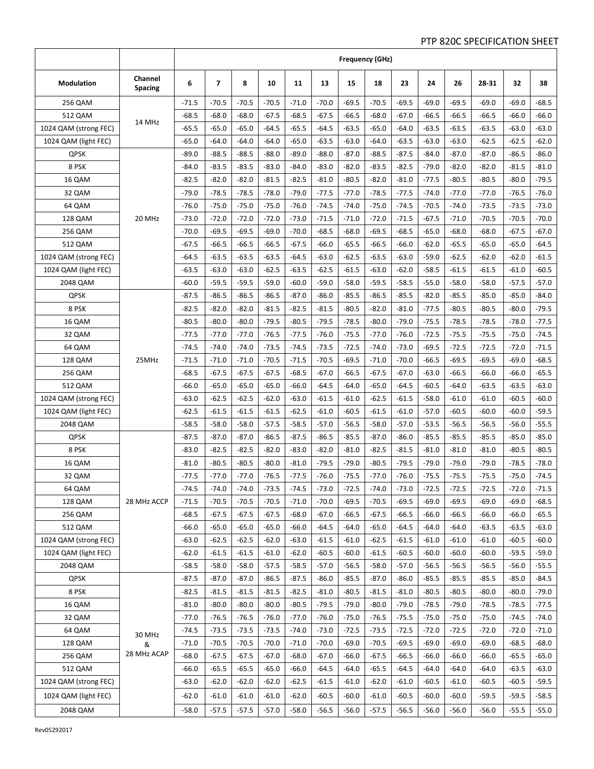|                       |                           | <b>Frequency (GHz)</b> |                |         |         |         |         |         |         |         |         |         |         |         |         |
|-----------------------|---------------------------|------------------------|----------------|---------|---------|---------|---------|---------|---------|---------|---------|---------|---------|---------|---------|
| Modulation            | Channel<br><b>Spacing</b> | 6                      | $\overline{7}$ | 8       | 10      | 11      | 13      | 15      | 18      | 23      | 24      | 26      | 28-31   | 32      | 38      |
| 256 QAM               |                           | $-71.5$                | $-70.5$        | $-70.5$ | $-70.5$ | $-71.0$ | $-70.0$ | $-69.5$ | $-70.5$ | $-69.5$ | $-69.0$ | $-69.5$ | $-69.0$ | $-69.0$ | $-68.5$ |
| 512 QAM               | 14 MHz                    | $-68.5$                | $-68.0$        | $-68.0$ | $-67.5$ | $-68.5$ | $-67.5$ | $-66.5$ | $-68.0$ | $-67.0$ | $-66.5$ | $-66.5$ | $-66.5$ | $-66.0$ | $-66.0$ |
| 1024 QAM (strong FEC) |                           | $-65.5$                | $-65.0$        | $-65.0$ | $-64.5$ | $-65.5$ | $-64.5$ | $-63.5$ | $-65.0$ | $-64.0$ | $-63.5$ | $-63.5$ | $-63.5$ | $-63.0$ | -63.0   |
| 1024 QAM (light FEC)  |                           | $-65.0$                | $-64.0$        | $-64.0$ | $-64.0$ | $-65.0$ | $-63.5$ | $-63.0$ | $-64.0$ | $-63.5$ | $-63.0$ | $-63.0$ | $-62.5$ | $-62.5$ | $-62.0$ |
| QPSK                  |                           | $-89.0$                | $-88.5$        | $-88.5$ | $-88.0$ | $-89.0$ | $-88.0$ | $-87.0$ | $-88.5$ | $-87.5$ | $-84.0$ | $-87.0$ | $-87.0$ | $-86.5$ | $-86.0$ |
| 8 PSK                 |                           | $-84.0$                | $-83.5$        | $-83.5$ | $-83.0$ | $-84.0$ | $-83.0$ | $-82.0$ | $-83.5$ | $-82.5$ | $-79.0$ | $-82.0$ | $-82.0$ | $-81.5$ | $-81.0$ |
| 16 QAM                |                           | $-82.5$                | $-82.0$        | $-82.0$ | $-81.5$ | $-82.5$ | $-81.0$ | $-80.5$ | $-82.0$ | $-81.0$ | $-77.5$ | $-80.5$ | $-80.5$ | $-80.0$ | $-79.5$ |
| 32 QAM                |                           | $-79.0$                | $-78.5$        | $-78.5$ | $-78.0$ | $-79.0$ | $-77.5$ | $-77.0$ | $-78.5$ | $-77.5$ | $-74.0$ | $-77.0$ | $-77.0$ | $-76.5$ | -76.0   |
| 64 QAM                |                           | $-76.0$                | $-75.0$        | $-75.0$ | $-75.0$ | $-76.0$ | $-74.5$ | $-74.0$ | $-75.0$ | $-74.5$ | $-70.5$ | $-74.0$ | $-73.5$ | $-73.5$ | $-73.0$ |
| 128 QAM               | 20 MHz                    | $-73.0$                | $-72.0$        | $-72.0$ | $-72.0$ | $-73.0$ | $-71.5$ | $-71.0$ | $-72.0$ | $-71.5$ | $-67.5$ | $-71.0$ | $-70.5$ | $-70.5$ | $-70.0$ |
| 256 QAM               |                           | $-70.0$                | $-69.5$        | $-69.5$ | $-69.0$ | $-70.0$ | $-68.5$ | $-68.0$ | $-69.5$ | $-68.5$ | $-65.0$ | $-68.0$ | $-68.0$ | $-67.5$ | $-67.0$ |
| 512 QAM               |                           | $-67.5$                | $-66.5$        | $-66.5$ | $-66.5$ | $-67.5$ | $-66.0$ | $-65.5$ | $-66.5$ | $-66.0$ | $-62.0$ | $-65.5$ | $-65.0$ | $-65.0$ | $-64.5$ |
| 1024 QAM (strong FEC) |                           | $-64.5$                | $-63.5$        | $-63.5$ | $-63.5$ | $-64.5$ | $-63.0$ | $-62.5$ | $-63.5$ | -63.0   | $-59.0$ | $-62.5$ | $-62.0$ | $-62.0$ | $-61.5$ |
| 1024 QAM (light FEC)  |                           | $-63.5$                | $-63.0$        | $-63.0$ | $-62.5$ | $-63.5$ | $-62.5$ | $-61.5$ | $-63.0$ | $-62.0$ | $-58.5$ | $-61.5$ | $-61.5$ | $-61.0$ | $-60.5$ |
| 2048 QAM              |                           | $-60.0$                | $-59.5$        | $-59.5$ | $-59.0$ | $-60.0$ | $-59.0$ | $-58.0$ | $-59.5$ | $-58.5$ | $-55.0$ | $-58.0$ | $-58.0$ | $-57.5$ | $-57.0$ |
| QPSK                  |                           | $-87.5$                | $-86.5$        | $-86.5$ | $-86.5$ | $-87.0$ | $-86.0$ | $-85.5$ | $-86.5$ | $-85.5$ | $-82.0$ | $-85.5$ | $-85.0$ | $-85.0$ | $-84.0$ |
| 8 PSK                 |                           | $-82.5$                | $-82.0$        | $-82.0$ | $-81.5$ | $-82.5$ | $-81.5$ | $-80.5$ | $-82.0$ | $-81.0$ | $-77.5$ | $-80.5$ | $-80.5$ | $-80.0$ | $-79.5$ |
| 16 QAM                |                           | $-80.5$                | $-80.0$        | $-80.0$ | $-79.5$ | $-80.5$ | $-79.5$ | $-78.5$ | $-80.0$ | $-79.0$ | $-75.5$ | $-78.5$ | $-78.5$ | $-78.0$ | $-77.5$ |
| 32 QAM                |                           | $-77.5$                | $-77.0$        | $-77.0$ | $-76.5$ | $-77.5$ | $-76.0$ | $-75.5$ | $-77.0$ | $-76.0$ | $-72.5$ | $-75.5$ | $-75.5$ | $-75.0$ | $-74.5$ |
| 64 QAM                |                           | $-74.5$                | $-74.0$        | $-74.0$ | $-73.5$ | $-74.5$ | $-73.5$ | $-72.5$ | $-74.0$ | $-73.0$ | $-69.5$ | $-72.5$ | $-72.5$ | $-72.0$ | $-71.5$ |
| 128 QAM               | 25MHz                     | $-71.5$                | $-71.0$        | $-71.0$ | $-70.5$ | $-71.5$ | $-70.5$ | $-69.5$ | $-71.0$ | $-70.0$ | $-66.5$ | $-69.5$ | $-69.5$ | $-69.0$ | $-68.5$ |
| 256 QAM               |                           | $-68.5$                | $-67.5$        | $-67.5$ | $-67.5$ | $-68.5$ | $-67.0$ | $-66.5$ | $-67.5$ | $-67.0$ | $-63.0$ | $-66.5$ | $-66.0$ | $-66.0$ | $-65.5$ |
| 512 QAM               |                           | $-66.0$                | $-65.0$        | $-65.0$ | $-65.0$ | $-66.0$ | $-64.5$ | $-64.0$ | $-65.0$ | $-64.5$ | $-60.5$ | $-64.0$ | $-63.5$ | $-63.5$ | $-63.0$ |
| 1024 QAM (strong FEC) |                           | $-63.0$                | $-62.5$        | $-62.5$ | $-62.0$ | $-63.0$ | $-61.5$ | $-61.0$ | $-62.5$ | $-61.5$ | $-58.0$ | $-61.0$ | $-61.0$ | $-60.5$ | $-60.0$ |
| 1024 QAM (light FEC)  |                           | $-62.5$                | $-61.5$        | $-61.5$ | $-61.5$ | $-62.5$ | $-61.0$ | $-60.5$ | $-61.5$ | $-61.0$ | $-57.0$ | $-60.5$ | $-60.0$ | $-60.0$ | $-59.5$ |
| 2048 QAM              |                           | $-58.5$                | $-58.0$        | $-58.0$ | $-57.5$ | $-58.5$ | $-57.0$ | $-56.5$ | $-58.0$ | $-57.0$ | $-53.5$ | $-56.5$ | $-56.5$ | $-56.0$ | $-55.5$ |
| <b>QPSK</b>           |                           | $-87.5$                | $-87.0$        | $-87.0$ | $-86.5$ | $-87.5$ | $-86.5$ | $-85.5$ | $-87.0$ | $-86.0$ | $-85.5$ | $-85.5$ | $-85.5$ | $-85.0$ | -85.0   |
| 8 PSK                 |                           | $-83.0$                | $-82.5$        | $-82.5$ | $-82.0$ | $-83.0$ | $-82.0$ | $-81.0$ | $-82.5$ | $-81.5$ | $-81.0$ | $-81.0$ | $-81.0$ | $-80.5$ | $-80.5$ |
| 16 QAM                |                           | $-81.0$                | $-80.5$        | $-80.5$ | $-80.0$ | $-81.0$ | $-79.5$ | $-79.0$ | $-80.5$ | $-79.5$ | $-79.0$ | $-79.0$ | $-79.0$ | $-78.5$ | $-78.0$ |
| 32 QAM                |                           | $-77.5$                | $-77.0$        | $-77.0$ | $-76.5$ | $-77.5$ | $-76.0$ | $-75.5$ | $-77.0$ | $-76.0$ | $-75.5$ | $-75.5$ | $-75.5$ | $-75.0$ | $-74.5$ |
| 64 QAM                |                           | $-74.5$                | $-74.0$        | $-74.0$ | $-73.5$ | $-74.5$ | $-73.0$ | $-72.5$ | $-74.0$ | $-73.0$ | $-72.5$ | $-72.5$ | $-72.5$ | $-72.0$ | $-71.5$ |
| 128 QAM               | 28 MHz ACCP               | $-71.5$                | $-70.5$        | $-70.5$ | $-70.5$ | $-71.0$ | $-70.0$ | -69.5   | $-70.5$ | -69.5   | $-69.0$ | -69.5   | $-69.0$ | $-69.0$ | -68.5   |
| 256 QAM               |                           | $-68.5$                | $-67.5$        | $-67.5$ | $-67.5$ | $-68.0$ | $-67.0$ | $-66.5$ | $-67.5$ | $-66.5$ | $-66.0$ | $-66.5$ | $-66.0$ | $-66.0$ | $-65.5$ |
| 512 QAM               |                           | $-66.0$                | $-65.0$        | $-65.0$ | $-65.0$ | $-66.0$ | $-64.5$ | $-64.0$ | $-65.0$ | $-64.5$ | $-64.0$ | $-64.0$ | $-63.5$ | $-63.5$ | -63.0   |
| 1024 QAM (strong FEC) |                           | $-63.0$                | $-62.5$        | $-62.5$ | $-62.0$ | $-63.0$ | $-61.5$ | $-61.0$ | $-62.5$ | $-61.5$ | $-61.0$ | $-61.0$ | $-61.0$ | $-60.5$ | $-60.0$ |
| 1024 QAM (light FEC)  |                           | $-62.0$                | $-61.5$        | $-61.5$ | $-61.0$ | $-62.0$ | $-60.5$ | $-60.0$ | $-61.5$ | $-60.5$ | $-60.0$ | $-60.0$ | $-60.0$ | $-59.5$ | -59.0   |
| 2048 QAM              |                           | $-58.5$                | $-58.0$        | $-58.0$ | $-57.5$ | $-58.5$ | $-57.0$ | $-56.5$ | $-58.0$ | $-57.0$ | $-56.5$ | $-56.5$ | $-56.5$ | $-56.0$ | -55.5   |
| QPSK                  |                           | $-87.5$                | $-87.0$        | $-87.0$ | $-86.5$ | $-87.5$ | $-86.0$ | $-85.5$ | $-87.0$ | $-86.0$ | $-85.5$ | $-85.5$ | $-85.5$ | $-85.0$ | -84.5   |
| 8 PSK                 |                           | $-82.5$                | $-81.5$        | $-81.5$ | $-81.5$ | $-82.5$ | $-81.0$ | $-80.5$ | -81.5   | $-81.0$ | $-80.5$ | $-80.5$ | $-80.0$ | $-80.0$ | -79.0   |
| 16 QAM                |                           | $-81.0$                | $-80.0$        | $-80.0$ | $-80.0$ | $-80.5$ | $-79.5$ | $-79.0$ | $-80.0$ | $-79.0$ | $-78.5$ | $-79.0$ | $-78.5$ | $-78.5$ | $-77.5$ |
| 32 QAM                |                           | $-77.0$                | $-76.5$        | $-76.5$ | $-76.0$ | $-77.0$ | $-76.0$ | $-75.0$ | $-76.5$ | $-75.5$ | $-75.0$ | $-75.0$ | $-75.0$ | $-74.5$ | -74.0   |
| 64 QAM                |                           | $-74.5$                | $-73.5$        | $-73.5$ | $-73.5$ | $-74.0$ | $-73.0$ | $-72.5$ | $-73.5$ | -72.5   | $-72.0$ | $-72.5$ | $-72.0$ | $-72.0$ | -71.0   |
| 128 QAM               | 30 MHz<br>&               | $-71.0$                | $-70.5$        | $-70.5$ | $-70.0$ | $-71.0$ | $-70.0$ | $-69.0$ | $-70.5$ | $-69.5$ | $-69.0$ | $-69.0$ | $-69.0$ | $-68.5$ | -68.0   |
| 256 QAM               | 28 MHz ACAP               | $-68.0$                | $-67.5$        | $-67.5$ | $-67.0$ | $-68.0$ | $-67.0$ | $-66.0$ | $-67.5$ | $-66.5$ | $-66.0$ | $-66.0$ | $-66.0$ | $-65.5$ | -65.0   |
| 512 QAM               |                           | $-66.0$                | $-65.5$        | $-65.5$ | $-65.0$ | $-66.0$ | $-64.5$ | $-64.0$ | $-65.5$ | $-64.5$ | $-64.0$ | $-64.0$ | $-64.0$ | $-63.5$ | $-63.0$ |
| 1024 QAM (strong FEC) |                           | $-63.0$                | $-62.0$        | $-62.0$ | $-62.0$ | $-62.5$ | $-61.5$ | $-61.0$ | $-62.0$ | $-61.0$ | $-60.5$ | $-61.0$ | $-60.5$ | $-60.5$ | -59.5   |
| 1024 QAM (light FEC)  |                           | $-62.0$                | $-61.0$        | $-61.0$ | $-61.0$ | $-62.0$ | $-60.5$ | $-60.0$ | $-61.0$ | $-60.5$ | $-60.0$ | $-60.0$ | $-59.5$ | $-59.5$ | -58.5   |
| 2048 QAM              |                           | $-58.0$                | $-57.5$        | $-57.5$ | $-57.0$ | $-58.0$ | $-56.5$ | $-56.0$ | $-57.5$ | $-56.5$ | $-56.0$ | $-56.0$ | $-56.0$ | $-55.5$ | -55.0   |
|                       |                           |                        |                |         |         |         |         |         |         |         |         |         |         |         |         |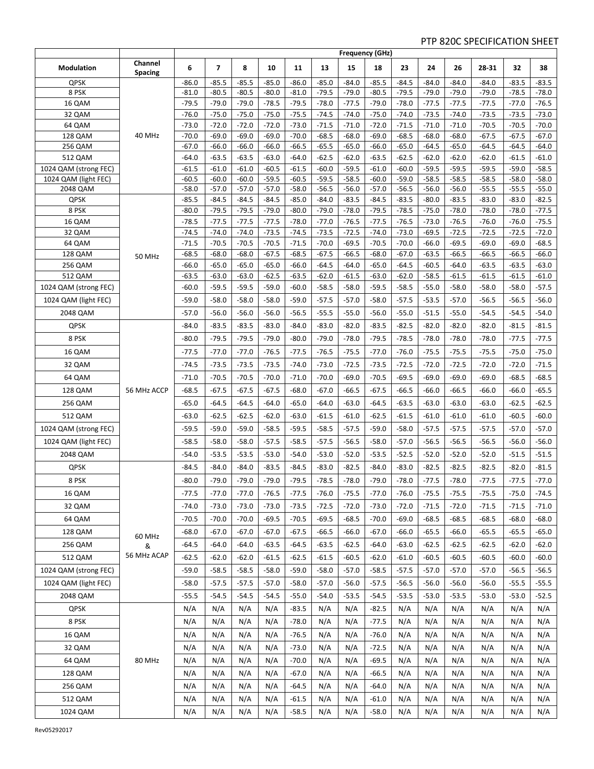|                       |                           | <b>Frequency (GHz)</b> |                    |                    |                    |                    |                    |                    |                    |                    |                    |                    |                    |                    |                    |
|-----------------------|---------------------------|------------------------|--------------------|--------------------|--------------------|--------------------|--------------------|--------------------|--------------------|--------------------|--------------------|--------------------|--------------------|--------------------|--------------------|
| Modulation            | Channel<br><b>Spacing</b> | 6                      | 7                  | 8                  | 10                 | 11                 | 13                 | 15                 | 18                 | 23                 | 24                 | 26                 | 28-31              | 32                 | 38                 |
| QPSK                  |                           | $-86.0$                | $-85.5$            | $-85.5$            | $-85.0$            | $-86.0$            | $-85.0$            | $-84.0$            | $-85.5$            | $-84.5$            | $-84.0$            | $-84.0$            | $-84.0$            | $-83.5$            | $-83.5$            |
| 8 PSK                 |                           | $-81.0$                | $-80.5$            | $-80.5$            | $-80.0$            | $-81.0$            | $-79.5$            | $-79.0$            | $-80.5$            | $-79.5$            | $-79.0$            | $-79.0$            | $-79.0$            | $-78.5$            | $-78.0$            |
| 16 QAM                |                           | $-79.5$                | $-79.0$            | $-79.0$            | $-78.5$            | $-79.5$            | $-78.0$            | $-77.5$            | $-79.0$            | $-78.0$            | $-77.5$            | $-77.5$            | $-77.5$            | $-77.0$            | $-76.5$            |
| 32 QAM                |                           | $-76.0$<br>$-73.0$     | $-75.0$<br>$-72.0$ | $-75.0$<br>$-72.0$ | $-75.0$<br>$-72.0$ | $-75.5$<br>$-73.0$ | $-74.5$<br>$-71.5$ | $-74.0$<br>$-71.0$ | $-75.0$<br>$-72.0$ | $-74.0$<br>$-71.5$ | $-73.5$<br>$-71.0$ | $-74.0$<br>$-71.0$ | $-73.5$<br>$-70.5$ | $-73.5$<br>$-70.5$ | $-73.0$<br>$-70.0$ |
| 64 QAM<br>128 QAM     | 40 MHz                    | $-70.0$                | $-69.0$            | $-69.0$            | $-69.0$            | $-70.0$            | $-68.5$            | $-68.0$            | $-69.0$            | $-68.5$            | $-68.0$            | $-68.0$            | $-67.5$            | $-67.5$            | $-67.0$            |
| 256 QAM               |                           | $-67.0$                | $-66.0$            | $-66.0$            | $-66.0$            | $-66.5$            | $-65.5$            | $-65.0$            | $-66.0$            | $-65.0$            | $-64.5$            | $-65.0$            | $-64.5$            | $-64.5$            | $-64.0$            |
| 512 QAM               |                           | $-64.0$                | $-63.5$            | $-63.5$            | $-63.0$            | $-64.0$            | $-62.5$            | $-62.0$            | $-63.5$            | $-62.5$            | $-62.0$            | $-62.0$            | $-62.0$            | $-61.5$            | $-61.0$            |
| 1024 QAM (strong FEC) |                           | $-61.5$                | $-61.0$            | $-61.0$            | $-60.5$            | $-61.5$            | $-60.0$            | $-59.5$            | $-61.0$            | $-60.0$            | $-59.5$            | $-59.5$            | $-59.5$            | $-59.0$            | $-58.5$            |
| 1024 QAM (light FEC)  |                           | $-60.5$                | $-60.0$            | $-60.0$            | $-59.5$            | $-60.5$            | $-59.5$            | $-58.5$            | $-60.0$            | $-59.0$            | $-58.5$            | $-58.5$            | $-58.5$            | $-58.0$            | $-58.0$            |
| 2048 QAM              |                           | $-58.0$                | $-57.0$            | $-57.0$            | $-57.0$            | $-58.0$            | $-56.5$            | $-56.0$            | $-57.0$            | $-56.5$            | $-56.0$            | $-56.0$            | $-55.5$            | $-55.5$            | $-55.0$            |
| QPSK                  |                           | $-85.5$                | $-84.5$            | $-84.5$            | $-84.5$            | $-85.0$            | $-84.0$            | $-83.5$            | $-84.5$            | $-83.5$            | $-80.0$            | $-83.5$            | $-83.0$            | $-83.0$            | $-82.5$            |
| 8 PSK                 |                           | $-80.0$                | $-79.5$            | $-79.5$            | $-79.0$            | $-80.0$            | $-79.0$            | $-78.0$            | $-79.5$            | $-78.5$            | $-75.0$            | $-78.0$            | $-78.0$            | $-78.0$            | $-77.5$            |
| 16 QAM                |                           | $-78.5$                | $-77.5$            | $-77.5$            | $-77.5$            | $-78.0$            | $-77.0$            | $-76.5$            | $-77.5$            | $-76.5$            | $-73.0$            | $-76.5$            | $-76.0$            | $-76.0$            | $-75.5$            |
| 32 QAM                |                           | $-74.5$                | $-74.0$            | $-74.0$            | $-73.5$            | $-74.5$            | $-73.5$            | $-72.5$            | $-74.0$            | $-73.0$            | $-69.5$            | $-72.5$            | $-72.5$            | $-72.5$            | $-72.0$            |
| 64 QAM                |                           | $-71.5$                | $-70.5$            | $-70.5$            | $-70.5$            | $-71.5$            | $-70.0$<br>$-67.5$ | $-69.5$<br>$-66.5$ | $-70.5$            | $-70.0$            | $-66.0$            | $-69.5$            | $-69.0$            | $-69.0$            | $-68.5$<br>$-66.0$ |
| 128 QAM<br>256 QAM    | <b>50 MHz</b>             | $-68.5$<br>$-66.0$     | $-68.0$<br>$-65.0$ | $-68.0$<br>$-65.0$ | $-67.5$<br>$-65.0$ | $-68.5$<br>$-66.0$ | $-64.5$            | $-64.0$            | $-68.0$<br>$-65.0$ | $-67.0$<br>$-64.5$ | $-63.5$<br>$-60.5$ | $-66.5$<br>$-64.0$ | $-66.5$<br>$-63.5$ | $-66.5$<br>$-63.5$ | $-63.0$            |
| 512 QAM               |                           | $-63.5$                | $-63.0$            | $-63.0$            | $-62.5$            | $-63.5$            | $-62.0$            | $-61.5$            | $-63.0$            | $-62.0$            | $-58.5$            | $-61.5$            | $-61.5$            | $-61.5$            | $-61.0$            |
| 1024 QAM (strong FEC) |                           | $-60.0$                | $-59.5$            | $-59.5$            | $-59.0$            | $-60.0$            | $-58.5$            | $-58.0$            | $-59.5$            | $-58.5$            | $-55.0$            | $-58.0$            | $-58.0$            | $-58.0$            | $-57.5$            |
| 1024 QAM (light FEC)  |                           | $-59.0$                | $-58.0$            | $-58.0$            | $-58.0$            | $-59.0$            | $-57.5$            | $-57.0$            | $-58.0$            | $-57.5$            | $-53.5$            | $-57.0$            | $-56.5$            | $-56.5$            | -56.0              |
| 2048 QAM              |                           | $-57.0$                | $-56.0$            | $-56.0$            | $-56.0$            | $-56.5$            | $-55.5$            | $-55.0$            | $-56.0$            | $-55.0$            | $-51.5$            | $-55.0$            | $-54.5$            | $-54.5$            | $-54.0$            |
| QPSK                  |                           | $-84.0$                | $-83.5$            | $-83.5$            | $-83.0$            | $-84.0$            | $-83.0$            | $-82.0$            | $-83.5$            | $-82.5$            | $-82.0$            | $-82.0$            | $-82.0$            | $-81.5$            | $-81.5$            |
| 8 PSK                 |                           | $-80.0$                | $-79.5$            | $-79.5$            | $-79.0$            | $-80.0$            | $-79.0$            | $-78.0$            | $-79.5$            | $-78.5$            | $-78.0$            | $-78.0$            | $-78.0$            | $-77.5$            | $-77.5$            |
| 16 QAM                |                           | $-77.5$                | $-77.0$            | $-77.0$            | $-76.5$            | $-77.5$            | $-76.5$            | $-75.5$            | $-77.0$            | $-76.0$            | $-75.5$            | $-75.5$            | $-75.5$            | $-75.0$            | $-75.0$            |
| 32 QAM                |                           | $-74.5$                | $-73.5$            | $-73.5$            | $-73.5$            | $-74.0$            | $-73.0$            | $-72.5$            | $-73.5$            | $-72.5$            | $-72.0$            | $-72.5$            | $-72.0$            | $-72.0$            | $-71.5$            |
| 64 QAM                |                           | $-71.0$                | $-70.5$            | $-70.5$            | $-70.0$            | $-71.0$            | $-70.0$            | $-69.0$            | $-70.5$            | $-69.5$            | $-69.0$            | $-69.0$            | $-69.0$            | $-68.5$            | $-68.5$            |
| 128 QAM               | 56 MHz ACCP               | $-68.5$                | $-67.5$            | $-67.5$            | $-67.5$            | $-68.0$            | $-67.0$            | $-66.5$            | $-67.5$            | $-66.5$            | $-66.0$            | $-66.5$            | $-66.0$            | $-66.0$            | $-65.5$            |
| 256 QAM               |                           | $-65.0$                | $-64.5$            | $-64.5$            | $-64.0$            | $-65.0$            | $-64.0$            | $-63.0$            | $-64.5$            | $-63.5$            | $-63.0$            | $-63.0$            | $-63.0$            | $-62.5$            | $-62.5$            |
| 512 QAM               |                           | $-63.0$                | $-62.5$            | $-62.5$            | $-62.0$            | $-63.0$            | $-61.5$            | $-61.0$            | $-62.5$            | $-61.5$            | $-61.0$            | $-61.0$            | $-61.0$            | $-60.5$            | -60.0              |
| 1024 QAM (strong FEC) |                           | $-59.5$                | $-59.0$            | $-59.0$            | $-58.5$            | $-59.5$            | $-58.5$            | $-57.5$            | $-59.0$            | $-58.0$            | $-57.5$            | $-57.5$            | $-57.5$            | $-57.0$            | $-57.0$            |
| 1024 QAM (light FEC)  |                           | $-58.5$                | $-58.0$            | $-58.0$            | $-57.5$            | $-58.5$            | $-57.5$            | $-56.5$            | $-58.0$            | $-57.0$            | $-56.5$            | $-56.5$            | $-56.5$            | $-56.0$            | $-56.0$            |
| 2048 QAM              |                           | $-54.0$                | $-53.5$            | $-53.5$            | $-53.0$            | $-54.0$            | $-53.0$            | $-52.0$            | $-53.5$            | $-52.5$            | $-52.0$            | $-52.0$            | $-52.0$            | $-51.5$            | $-51.5$            |
| QPSK                  |                           | $-84.5$                | $-84.0$            | $-84.0$            | $-83.5$            | $-84.5$            | $-83.0$            | $-82.5$            | $-84.0$            | $-83.0$            | $-82.5$            | $-82.5$            | $-82.5$            | $-82.0$            | $-81.5$            |
| 8 PSK                 |                           | $-80.0$                | $-79.0$            | $-79.0$            | $-79.0$            | $-79.5$            | $-78.5$            | $-78.0$            | $-79.0$            | $-78.0$            | $-77.5$            | $-78.0$            | $-77.5$            | $-77.5$            | $-77.0$            |
| 16 QAM                |                           | $-77.5$                | $-77.0$            | $-77.0$            | $-76.5$            | $-77.5$            | $-76.0$            | $-75.5$            | $-77.0$            | $-76.0$            | $-75.5$            | $-75.5$            | $-75.5$            | $-75.0$            | $-74.5$            |
| 32 QAM                |                           | $-74.0$                | $-73.0$            | $-73.0$            | $-73.0$            | $-73.5$            | $-72.5$            | $-72.0$            | $-73.0$            | $-72.0$            | $-71.5$            | $-72.0$            | $-71.5$            | $-71.5$            | $-71.0$            |
| 64 QAM                |                           | $-70.5$                | $-70.0$            | $-70.0$            | $-69.5$            | $-70.5$            | $-69.5$            | $-68.5$            | $-70.0$            | $-69.0$            | $-68.5$            | -68.5              | $-68.5$            | $-68.0$            | -68.0              |
| 128 QAM               | 60 MHz                    | $-68.0$                | -67.0              | $-67.0$            | $-67.0$            | $-67.5$            | -66.5              | $-66.0$            | $-67.0$            | $-66.0$            | -65.5              | -66.0              | $-65.5$            | $-65.5$            | -65.0              |
| 256 QAM               | &                         | $-64.5$                | -64.0              | $-64.0$            | $-63.5$            | $-64.5$            | -63.5              | -62.5              | $-64.0$            | $-63.0$            | $-62.5$            | -62.5              | $-62.5$            | $-62.0$            | -62.0              |
| 512 QAM               | 56 MHz ACAP               | $-62.5$                | $-62.0$            | $-62.0$            | $-61.5$            | $-62.5$            | $-61.5$            | $-60.5$            | $-62.0$            | $-61.0$            | $-60.5$            | -60.5              | $-60.5$            | $-60.0$            | -60.0              |
| 1024 QAM (strong FEC) |                           | $-59.0$                | $-58.5$            | $-58.5$            | $-58.0$            | $-59.0$            | $-58.0$            | $-57.0$            | $-58.5$            | $-57.5$            | $-57.0$            | -57.0              | -57.0              | $-56.5$            | $-56.5$            |
| 1024 QAM (light FEC)  |                           | $-58.0$                | $-57.5$            | $-57.5$            | $-57.0$            | $-58.0$            | $-57.0$            | $-56.0$            | $-57.5$            | $-56.5$            | $-56.0$            | $-56.0$            | $-56.0$            | $-55.5$            | $-55.5$            |
| 2048 QAM              |                           | $-55.5$                | $-54.5$            | $-54.5$            | $-54.5$            | $-55.0$            | $-54.0$            | $-53.5$            | $-54.5$            | $-53.5$            | $-53.0$            | $-53.5$            | $-53.0$            | $-53.0$            | $-52.5$            |
| <b>QPSK</b>           |                           | N/A                    | N/A                | N/A                | N/A                | $-83.5$            | N/A                | N/A                | $-82.5$            | N/A                | N/A                | N/A                | N/A                | N/A                | N/A                |
| 8 PSK                 |                           | N/A                    | N/A                | N/A                | N/A                | $-78.0$            | N/A                | N/A                | $-77.5$            | N/A                | N/A                | N/A                | N/A                | N/A                | N/A                |
| 16 QAM                |                           | N/A                    | N/A                | N/A                | N/A                | $-76.5$            | N/A                | N/A                | $-76.0$            | N/A                | N/A                | N/A                | N/A                | N/A                | N/A                |
| 32 QAM                |                           | N/A                    | N/A                | N/A                | N/A                | $-73.0$            | N/A                | N/A                | $-72.5$            | N/A                | N/A                | N/A                | N/A                | N/A                | N/A                |
| 64 QAM                | 80 MHz                    | N/A                    | N/A                | N/A                | N/A                | $-70.0$            | N/A                | N/A                | $-69.5$            | N/A                | N/A                | N/A                | N/A                | N/A                | N/A                |
| 128 QAM               |                           | N/A                    | N/A                | N/A                | N/A                | $-67.0$            | N/A                | N/A                | $-66.5$            | N/A                | N/A                | N/A                | N/A                | N/A                | N/A                |
| 256 QAM               |                           | N/A                    | N/A                | N/A                | N/A                | $-64.5$            | N/A                | N/A                | $-64.0$            | N/A                | N/A                | N/A                | N/A                | N/A                | N/A                |
| 512 QAM               |                           | N/A                    | N/A                | N/A                | N/A                | $-61.5$            | N/A                | N/A                | $-61.0$            | N/A                | N/A                | N/A                | N/A                | N/A                | N/A                |
| 1024 QAM              |                           | N/A                    | N/A                | N/A                | N/A                | $-58.5$            | N/A                | N/A                | $-58.0$            | N/A                | N/A                | N/A                | N/A                | N/A                | N/A                |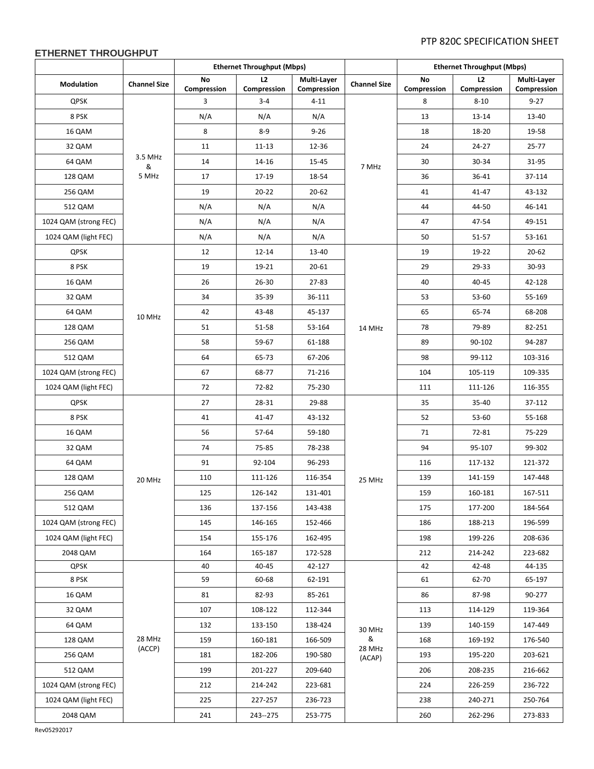## **ETHERNET THROUGHPUT**

|                       |                     |                   | <b>Ethernet Throughput (Mbps)</b> |                            |                     | <b>Ethernet Throughput (Mbps)</b> |                   |                            |  |  |
|-----------------------|---------------------|-------------------|-----------------------------------|----------------------------|---------------------|-----------------------------------|-------------------|----------------------------|--|--|
| Modulation            | <b>Channel Size</b> | No<br>Compression | L2<br>Compression                 | Multi-Layer<br>Compression | <b>Channel Size</b> | No<br>Compression                 | L2<br>Compression | Multi-Layer<br>Compression |  |  |
| <b>QPSK</b>           |                     | 3                 | $3 - 4$                           | $4 - 11$                   |                     | 8                                 | $8 - 10$          | $9 - 27$                   |  |  |
| 8 PSK                 |                     | N/A               | N/A                               | N/A                        |                     | 13                                | 13-14             | 13-40                      |  |  |
| 16 QAM                |                     | 8                 | $8 - 9$                           | $9 - 26$                   |                     | 18                                | 18-20             | 19-58                      |  |  |
| 32 QAM                |                     | 11                | 11-13                             | 12-36                      |                     | 24                                | 24-27             | 25-77                      |  |  |
| 64 QAM                | 3.5 MHz             | 14                | 14-16                             | 15-45                      |                     | 30                                | 30-34             | 31-95                      |  |  |
| 128 QAM               | &<br>5 MHz          | 17                | 17-19                             | 18-54                      | 7 MHz               | 36                                | 36-41             | 37-114                     |  |  |
| 256 QAM               |                     | 19                | $20 - 22$                         | 20-62                      |                     | 41                                | 41-47             | 43-132                     |  |  |
| 512 QAM               |                     | N/A               | N/A                               | N/A                        |                     | 44                                | 44-50             | 46-141                     |  |  |
| 1024 QAM (strong FEC) |                     | N/A               | N/A                               | N/A                        |                     | 47                                | 47-54             | 49-151                     |  |  |
| 1024 QAM (light FEC)  |                     | N/A               | N/A                               | N/A                        |                     | 50                                | 51-57             | 53-161                     |  |  |
| <b>QPSK</b>           |                     | 12                | $12 - 14$                         | 13-40                      |                     | 19                                | 19-22             | $20 - 62$                  |  |  |
| 8 PSK                 |                     | 19                | 19-21                             | 20-61                      |                     | 29                                | 29-33             | 30-93                      |  |  |
| 16 QAM                |                     | 26                | 26-30                             | 27-83                      |                     | 40                                | 40-45             | 42-128                     |  |  |
| 32 QAM                |                     | 34                | 35-39                             | 36-111                     |                     | 53                                | 53-60             | 55-169                     |  |  |
| 64 QAM                |                     | 42                | 43-48                             | 45-137                     |                     | 65                                | 65-74             | 68-208                     |  |  |
| 128 QAM               | 10 MHz              | 51                | 51-58                             | 53-164                     | 14 MHz              | 78                                | 79-89             | 82-251                     |  |  |
| 256 QAM               |                     | 58                | 59-67                             | 61-188                     |                     | 89                                | 90-102            | 94-287                     |  |  |
| 512 QAM               |                     | 64                | 65-73                             | 67-206                     |                     | 98                                | 99-112            | 103-316                    |  |  |
| 1024 QAM (strong FEC) |                     | 67                | 68-77                             | 71-216                     |                     | 104                               | 105-119           | 109-335                    |  |  |
| 1024 QAM (light FEC)  |                     | 72                | 72-82                             | 75-230                     |                     | 111                               | 111-126           | 116-355                    |  |  |
| <b>QPSK</b>           |                     | 27                | 28-31                             | 29-88                      |                     | 35                                | 35-40             | 37-112                     |  |  |
| 8 PSK                 |                     | 41                | 41-47                             | 43-132                     |                     | 52                                | 53-60             | 55-168                     |  |  |
| 16 QAM                |                     | 56                | 57-64                             | 59-180                     |                     | 71                                | 72-81             | 75-229                     |  |  |
| 32 QAM                |                     | 74                | 75-85                             | 78-238                     |                     | 94                                | 95-107            | 99-302                     |  |  |
| 64 QAM                |                     | 91                | 92-104                            | 96-293                     |                     | 116                               | 117-132           | 121-372                    |  |  |
| 128 QAM               | 20 MHz              | 110               | 111-126                           | 116-354                    | 25 MHz              | 139                               | 141-159           | 147-448                    |  |  |
| 256 QAM               |                     | 125               | 126-142                           | 131-401                    |                     | 159                               | 160-181           | 167-511                    |  |  |
| 512 QAM               |                     | 136               | 137-156                           | 143-438                    |                     | 175                               | 177-200           | 184-564                    |  |  |
| 1024 QAM (strong FEC) |                     | 145               | 146-165                           | 152-466                    |                     | 186                               | 188-213           | 196-599                    |  |  |
| 1024 QAM (light FEC)  |                     | 154               | 155-176                           | 162-495                    |                     | 198                               | 199-226           | 208-636                    |  |  |
| 2048 QAM              |                     | 164               | 165-187                           | 172-528                    |                     | 212                               | 214-242           | 223-682                    |  |  |
| QPSK                  |                     | 40                | 40-45                             | 42-127                     |                     | 42                                | 42-48             | 44-135                     |  |  |
| 8 PSK                 |                     | 59                | 60-68                             | 62-191                     |                     | 61                                | 62-70             | 65-197                     |  |  |
| 16 QAM                |                     | 81                | 82-93                             | 85-261                     |                     | 86                                | 87-98             | 90-277                     |  |  |
| 32 QAM                |                     | 107               | 108-122                           | 112-344                    |                     | 113                               | 114-129           | 119-364                    |  |  |
| 64 QAM                |                     | 132               | 133-150                           | 138-424                    | 30 MHz              | 139                               | 140-159           | 147-449                    |  |  |
| 128 QAM               | 28 MHz              | 159               | 160-181                           | 166-509                    | &                   | 168                               | 169-192           | 176-540                    |  |  |
| 256 QAM               | (ACCP)              | 181               | 182-206                           | 190-580                    | 28 MHz<br>(ACAP)    | 193                               | 195-220           | 203-621                    |  |  |
| 512 QAM               |                     | 199               | 201-227                           | 209-640                    |                     | 206                               | 208-235           | 216-662                    |  |  |
| 1024 QAM (strong FEC) |                     | 212               | 214-242                           | 223-681                    |                     | 224                               | 226-259           | 236-722                    |  |  |
| 1024 QAM (light FEC)  |                     | 225               | 227-257                           | 236-723                    |                     | 238                               | 240-271           | 250-764                    |  |  |
| 2048 QAM              |                     | 241               | 243--275                          | 253-775                    |                     | 260                               | 262-296           | 273-833                    |  |  |